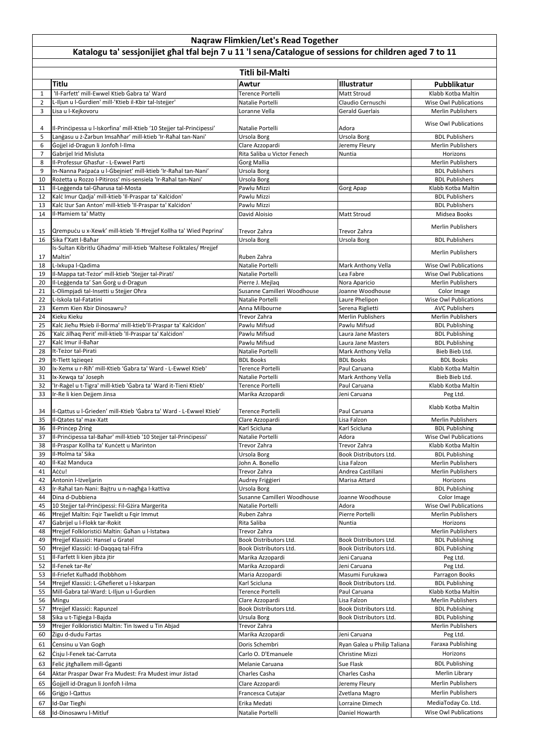## **Titlu Awtur Illustratur Pubblikatur** 1 | 'Il-Farfett' mill-Ewwel Ktieb Ġabra ta' Ward<br>1 | Natalie Portelli | Matt Stroud Matt Stroud Klabb Kotba Maltin | Klabb Kotba Maltin | Klabb Kotba Maltin |<br>2 | L-Iliun u l-Gurdien' mill-'Ktieb il-Kbir tal-Istejier' | Na 2 L-Iljun u l-Gurdien' mill-'Ktieb il-Kbir tal-Istejjer' Natalie Portelli Natalie Portelli Claudio Cernuschi 3 Lisa u l-Kejkovoru Loranne Vella Gerald Guerlais Merlin Publishers 4 Il-Principessa u l-Iskorfina' mill-Ktieb '10 Stejjer tal-Principessi' Natalie Portelli Adora Adora Natalie Portelli Kuse Owl Publications 5 Lanġasu u ż-Żarbun Imsaħħar' mill-ktieb 'Ir-Raħal tan-Nani' Ursola Borg Ursola Borg Ursola Borg BDL Publishers 6 Gojjel id-Dragun li Jonfoħ I-Ilma **Golden and State Azzopardi** Clare Azzopardi Jeremy Fleury Merlin Publishers 7 Gabrijel Irid Misluta Nuntia Rita Saliba u Victor Fenech Nuntia Nuntia Nuntia Horizons 8 |Il-Professur Għasfur - L-Ewwel Parti **Gorg Mallia** | Gorg Mallia | Gorg Mallia | Gorg Merlin Publishers | Merlin Publishers 9 In-Nanna Paċpaċa u l-Ġbejniet' mill-ktieb 'Ir-Raħal tan-Nani' Ursola Borg BDL Publishers BDL Publishers BDL Publishers 10 Rożetta u Rozzo l-Pitiross' mis-sensiela 'Ir-Raħal tan-Nani' Ursola Borg BDL Publishers 11 Il-Leġġenda tal-Għarusa tal-Mosta Pawlu Mizzi Ġorġ Apap Klabb Kotba Maltin 12 Kalċ Imur Qadja' mill-ktieb 'Il-Praspar ta' Kalċidon' Pawlu Mizzi BDL Publishers 13 Kalċ Iżur San Anton' mill-ktieb 'Il-Praspar ta' Kalċidon' Pawlu Mizzi Pawlu Mizzi BDL Publishers 14 II-Ħamiem ta' Matty Nidsea Books (David Aloisio Nidsea Books Nidsea Books Nidsea Books Nidsea Books Nidsea Books 15 Qrempuċu u x-Xewk' mill-ktieb 'Il-Ħrejjef Kollha ta' Wied Peprina' Trevor Zahra Trevor Zahra Trevor Zahra Merlin Publishers 16 Sika f'Xatt l-Baħar Ursola Borg Ursola Borg BDL Publishers 17 Is-Sultan Kibritlu Għadma' mill-ktieb 'Maltese Folktales/ Ħrejjef maltin' Merlin Publishers (1999) (Contained the Contained States of the Contained States of the Merlin Publishers (1990) (Contained States of the Merlin Publishers (1990) (Contained States of the Merlin Publishers (1990) ( 18 L-Ixkupa l-Qadima Natalie Portelli Natalie Portelli Natalie Portelli Natalie Portelli Natalie Portelli Natalie Portelli Natalie Portelli Natalie Portelli Natalie Portelli Natalie Portelli Natalie Portelli Natalie Portel 19 |Il-Mappa tat-Teżor' mill-ktieb 'Stejjer tal-Pirati' Natalie Portelli Natalie Portelli Natalie Portelli Natalie Portelli Natalie Portelli Natalie Portelli Natalie Portelli Natalie Portelli Natalie Portelli Natalie Porte 20 II-Leġġenda ta' San Ġorġ u d-Dragun Nora Merlin Publishers | Pierre J. Mejlaq Nora Aparicio Nora Aparicio Merlin Publishers 21 L-Olimpjadi tal-Insetti u Stejjer Oħra Susanne Camilleri Woodhouse Joanne Woodhouse Joanne Woodhouse Color Image 22 L-Iskola tal-Fatatini Natalie Portelli Natalie Portelli Laure Phelipon Nise Owl Publications 23 Kemm Kien Kbir Dinosawru? **Anna Milbourne** Serena Riglietti **AVC Publishers** Serena Riglietti AVC Publishers 24 |Kieku Kieku Merlin Publishers Merlin Publishers Merlin Publishers Merlin Publishers Merlin Publishers Merlin Publishers Merlin Publishers Merlin Publishers Merlin Publishers Merlin Publishers Merlin Publishers Merlin P 25 Kalċ Jieħu Ħsieb il-Borma' mill-ktieb'Il-Praspar ta' Kalċidon' Pawlu Mifsud Pawlu Mifsud Pawlu Mifsud BDL Publishing 26 |'Kalċ Jilħaq Perit' mill-ktieb 'Il-Praspar ta' Kalċidon' | Pawlu Mifsud | Laura Jane Masters | BDL Publishing 27 |Kalċ Imur il-Baħar Pawli Microsoft Laura Jane Masters Album BDL Publishing Pawlu Mifsud Laura Jane Masters Publishing 28 It-Teżor tal-Pirati Natalie Portelli Mark Anthony Vella Bieb Bieb Ltd. 29 It-Tlett Iqżieqeż BDL Books BDL Books BDL Books 30 Ix-Xemx u r-Riħ' mill-Ktieb 'Ġabra ta' Ward - L-Ewwel Ktieb' Terence Portelli Paul Caruana Klabb Kotba Maltin 31 Ix-Xewqa ta' Joseph Natalie Portelli Mark Anthony Vella Bieb Bieb Ltd. 32 |'Ir-Raġel u t-Tigra' mill-ktieb 'Ġabra ta' Ward it-Tieni Ktieb' | Terence Portelli | Paul Caruana | Klabb Kotba Maltin 33 Ir-Re li kien Dejjem Jinsa Marika Azzopardi Narika Azzopardi Negrama Dengan Deg Ltd. <sup>34</sup> Il-Qattus u l-Ġrieden' mill-Ktieb 'Ġabra ta' Ward - L-Ewwel Ktieb' Terence Portelli Paul Caruana Klabb Kotba Maltin 35 Il-Qtates ta' max-Xatt Clare Azzopardi Lisa Falzon Merlin Publishers 36 Il-Prinċep Żrinġ Karl Scicluna Karl Scicluna BDL Publishing 37 Il-Prinċipessa tal-Baħar' mill-ktieb '10 Stejjer tal-Prinċipessi' Natalie Portelli Natalie Portelli Adora Natalie Portelli Natalie Portelli Natalie Portelli Adora Natalie Portelli Natalie Portelli Natalie Portelli Natal 38 |Il-Praspar Kollha ta' Kunċett u Marinton Nation Nation Nation Nation Nation Nation Nation Nation Nation Nation Nation Nation Nation Nation Nation Nation Nation Nation Nation Nation Nation Nation Nation Nation Nation Na 39 II-Ħolma ta' Sika Bolla Book Distributors Ltd. BDL Publishing and Book Distributors Ltd. BDL Publishing 40 Il-Każ Manduca John A. Bonello Lisa Falzon Merlin Publishers 41 Aċċu! Trevor Zahra Andrea Castillani Merlin Publishers 42 Antonin l-Iżveljarin **Audrey Friggieri** Marisa Attard Horizons Horizons **Marisa Attard** Horizons 43 Ir-Raħal tan-Nani: Bajtru u n-nagħġa l-kattiva Ursola Borg BDL Publishing 44 Dina d-Dubbiena Susanne Camilleri Woodhouse Joanne Woodhouse Color Image 45 | 10 Stejjer tal-Prinċipessi: Fil-Gżira Margerita Natalie Portelli Natalie Portelli Natalie Portelli Natalie Portelli Natalie Portelli Natalie Portelli Natalie Portelli Natalie Portelli Natalie Portelli Natalie Portelli 46 Harejjef Maltin: Fqir Twelidt u Fqir Immut Nuber Ruben Zahra New Pierre Portelli Nerlin Publishers Nerlin Publishers 47 Gabrijel u l-Flokk tar-Rokit Nuntia Nuntia Nuntia Nuntia Nuntia Nuntia Horizons 48 Hrejjef Folkloristici Maltin: Ġaħan u l-Istatwa Merlin Publishers Trevor Zahra New York Line and Merlin Publishers Merlin Publishers Merlin Publishers Merlin Publishers Merlin Publishers Merlin Publishers Merlin Publish 49 Hrejjef Klassići: Hansel u Gratel Statel Statel Book Distributors Ltd. Book Distributors Ltd. BDL Publishing 50 Hrejjef Klassići: Id-Daqqaq tal-Fifra Book Distributors Ltd. Book Distributors Ltd. BDL Publishing Book Distributors Ltd. BDL Publishing 51 |Il-Farfett li kien jibża jtir **Marika Azzopardi** Marika Azzopardi **Marika Azzopardi** Jeni Caruana **Marika Azzopardi** Peg Ltd. 52 |Il-Fenek tar-Re' Naman Marika Azzopardi Narika Azzopardi Negeri Jeni Caruana Narika Azzopardi Peg Ltd. **Naqraw Flimkien/Let's Read Together Katalogu ta' sessjonijiet għal tfal bejn 7 u 11 'l sena/Catalogue of sessions for children aged 7 to 11 Titli bil-Malti**

| 53 | II-Friefet Kulhadd Ihobbhom                           | Maria Azzopardi        | Masumi Furukawa               | Parragon Books               |
|----|-------------------------------------------------------|------------------------|-------------------------------|------------------------------|
| 54 | Hrejjef Klassići: L-Għefieret u l-Iskarpan            | Karl Scicluna          | Book Distributors Ltd.        | <b>BDL Publishing</b>        |
| 55 | Mill-Gabra tal-Ward: L-Iljun u l-Gurdien              | Terence Portelli       | Paul Caruana                  | Klabb Kotba Maltin           |
| 56 | <b>Mingu</b>                                          | Clare Azzopardi        | Lisa Falzon                   | <b>Merlin Publishers</b>     |
| 57 | Hrejjef Klassići: Rapunzel                            | Book Distributors Ltd. | <b>Book Distributors Ltd.</b> | <b>BDL Publishing</b>        |
| 58 | Sika u t-Tiģieģa I-Bajda                              | Ursula Borg            | <b>Book Distributors Ltd.</b> | <b>BDL Publishing</b>        |
| 59 | Hrejjer Folkloristići Maltin: Tin Iswed u Tin Abjad   | Trevor Zahra           |                               | <b>Merlin Publishers</b>     |
| 60 | Žigu d-dudu Fartas                                    | Marika Azzopardi       | Jeni Caruana                  | Peg Ltd.                     |
| 61 | Censinu u Van Gogh                                    | Doris Schembri         | Ryan Galea u Philip Taliana   | Faraxa Publishing            |
| 62 | Cisju I-Fenek tac-Carruta                             | Carlo O. D'Emanuele    | <b>Christine Mizzi</b>        | Horizons                     |
| 63 | Felic jitghallem mill-Gganti                          | Melanie Caruana        | Sue Flask                     | <b>BDL Publishing</b>        |
| 64 | Aktar Praspar Dwar Fra Mudest: Fra Mudest imur Jistad | Charles Casha          | Charles Casha                 | Merlin Library               |
| 65 | Gojjell id-Dragun li Jonfoh l-ilma                    | Clare Azzopardi        | Jeremy Fleury                 | <b>Merlin Publishers</b>     |
| 66 | Grigio I-Qattus                                       | Francesca Cutajar      | Zvetlana Magro                | <b>Merlin Publishers</b>     |
| 67 | Id-Dar Tieghi                                         | Erika Medati           | Lorraine Dimech               | MediaToday Co. Ltd.          |
| 68 | Id-Dinosawru l-Mitluf                                 | Natalie Portelli       | Daniel Howarth                | <b>Wise Owl Publications</b> |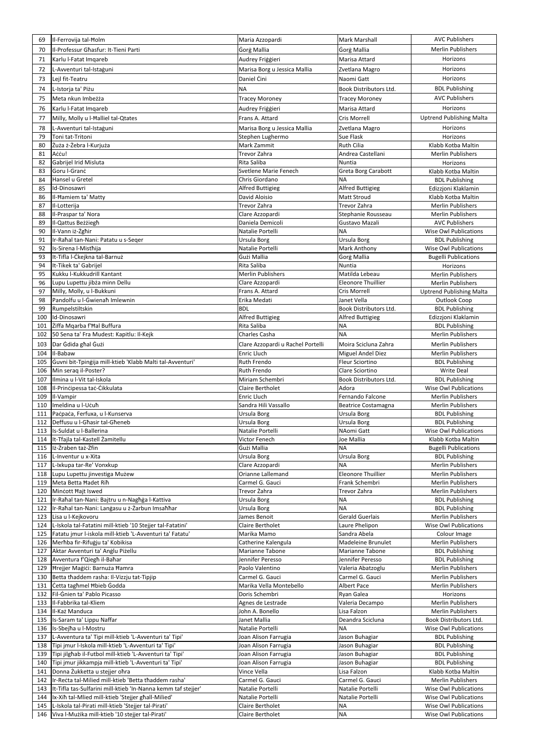| 69         | Il-Ferrovija tal-Holm                                                                                                  | Maria Azzopardi                        | Mark Marshall                       | <b>AVC Publishers</b>                             |
|------------|------------------------------------------------------------------------------------------------------------------------|----------------------------------------|-------------------------------------|---------------------------------------------------|
| 70         | Il-Professur Ghasfur: It-Tieni Parti                                                                                   | <b>Gorg Mallia</b>                     | Gorg Mallia                         | <b>Merlin Publishers</b>                          |
|            | Karlu I-Fatat Imqareb                                                                                                  | Audrey Friggieri                       | Marisa Attard                       | Horizons                                          |
| 71         |                                                                                                                        |                                        |                                     | Horizons                                          |
| 72         | L-Avventuri tal-Istaguni                                                                                               | Marisa Borg u Jessica Mallia           | Zvetlana Magro                      |                                                   |
| 73         | Lejl fit-Teatru                                                                                                        | Daniel Cini                            | Naomi Gatt                          | Horizons                                          |
| 74         | L-Istorja ta' Piżu                                                                                                     | <b>NA</b>                              | Book Distributors Ltd.              | <b>BDL Publishing</b>                             |
| 75         | Meta nkun Imbeżża                                                                                                      | <b>Tracey Moroney</b>                  | <b>Tracey Moroney</b>               | <b>AVC Publishers</b>                             |
| 76         | Karlu I-Fatat Imqareb                                                                                                  | Audrey Friggieri                       | Marisa Attard                       | Horizons                                          |
| 77         | Milly, Molly u l-Halliel tal-Qtates                                                                                    | Frans A. Attard                        | <b>Cris Morrell</b>                 | <b>Uptrend Publishing Malta</b>                   |
| 78         | L-Avventuri tal-Istaguni                                                                                               | Marisa Borg u Jessica Mallia           | Zvetlana Magro                      | Horizons                                          |
| 79         | Toni tat-Tritoni                                                                                                       | Stephen Lughermo                       | Sue Flask                           | Horizons                                          |
| 80         | Żuża ż-Żebra I-Kurjuża                                                                                                 | Mark Zammit                            | <b>Ruth Cilia</b>                   | Klabb Kotba Maltin                                |
| 81         | Accu!                                                                                                                  | Trevor Zahra                           | Andrea Castellani                   | <b>Merlin Publishers</b>                          |
| 82         | Gabrijel Irid Misluta                                                                                                  | Rita Saliba                            | Nuntia                              | Horizons                                          |
| 83         | Goru I-Granċ                                                                                                           | Svetlene Marie Fenech                  | Greta Borg Carabott                 | Klabb Kotba Maltin                                |
| 84         | Hansel u Gretel                                                                                                        | Chris Giordano                         | <b>NA</b>                           | <b>BDL Publishing</b>                             |
| 85         | Id-Dinosawri                                                                                                           | <b>Alfred Buttigieg</b>                | <b>Alfred Buttigieg</b>             | Edizzjoni Klaklamin                               |
| 86         | Il-Hamiem ta' Matty                                                                                                    | David Aloisio                          | <b>Matt Stroud</b>                  | Klabb Kotba Maltin                                |
| 87         | Il-Lotterija                                                                                                           | Trevor Zahra                           | Trevor Zahra                        | <b>Merlin Publishers</b>                          |
| 88         | Il-Praspar ta' Nora                                                                                                    | Clare Azzopardi                        | Stephanie Rousseau                  | <b>Merlin Publishers</b>                          |
| 89         | Il-Qattus Beżżiegħ                                                                                                     | Daniela Demicoli                       | Gustavo Mazali                      | <b>AVC Publishers</b>                             |
| 90         | Il-Vann iż-Żgħir                                                                                                       | Natalie Portelli                       | <b>NA</b>                           | <b>Wise Owl Publications</b>                      |
| 91         | Ir-Rahal tan-Nani: Patatu u s-Seger                                                                                    | Ursula Borg                            | Ursula Borg                         | <b>BDL Publishing</b>                             |
| 92         | Is-Sirena l-Misthija                                                                                                   | Natalie Portelli                       | Mark Anthony                        | <b>Wise Owl Publications</b>                      |
| 93         | It-Tifla I-Ċkejkna tal-Barnuż                                                                                          | Gużi Mallia                            | Gorg Mallia                         | <b>Bugelli Publications</b>                       |
| 94         | It-Tikek ta' Gabrijel                                                                                                  | Rita Saliba                            | Nuntia                              | Horizons                                          |
| 95         | Kukku l-Kukkudrill Kantant                                                                                             | <b>Merlin Publishers</b>               | Matilda Lebeau                      | <b>Merlin Publishers</b>                          |
| 96         | Lupu Lupettu jibża minn Dellu                                                                                          | Clare Azzopardi                        | Eleonore Thuillier                  | <b>Merlin Publishers</b>                          |
| 97         | Milly, Molly, u l-Bukkuni                                                                                              | Frans A. Attard                        | Cris Morrell                        | <b>Uptrend Publishing Malta</b>                   |
| 98         | Pandolfu u I-Gwienah Imlewnin                                                                                          | Erika Medati                           | Janet Vella                         | Outlook Coop                                      |
| 99         | Rumpelstiltskin                                                                                                        | <b>BDL</b>                             | <b>Book Distributors Ltd</b>        | <b>BDL Publishing</b>                             |
| 100        | Id-Dinosawri                                                                                                           | <b>Alfred Buttigieg</b>                | <b>Alfred Buttigieg</b>             | Edizzjoni Klaklamin                               |
|            | 101 Ziffa Mgarba f'Hal Buffura                                                                                         | Rita Saliba                            | <b>NA</b>                           | <b>BDL Publishing</b>                             |
| 102        | 50 Sena ta' Fra Mudest: Kapitlu: Il-Kejk                                                                               | Charles Casha                          | <b>NA</b>                           | Merlin Publishers                                 |
| 103        | Dar Gdida ghal Guzi                                                                                                    | Clare Azzopardi u Rachel Portelli      | Moira Scicluna Zahra                | <b>Merlin Publishers</b>                          |
| 104        | Il-Babaw                                                                                                               | <b>Enric Lluch</b>                     | <b>Miguel Andel Diez</b>            | <b>Merlin Publishers</b>                          |
| 105        | Guvni bit-Tpingija mill-ktieb 'Klabb Malti tal-Avventuri'                                                              | <b>Ruth Frendo</b>                     | <b>Fleur Sciortino</b>              | <b>BDL Publishing</b>                             |
| 106        | Min serag il-Poster?                                                                                                   | <b>Ruth Frendo</b>                     | Clare Sciortino                     | <b>Write Deal</b>                                 |
| 107        | Ilmina u I-Vit tal-Iskola                                                                                              | Miriam Schembri                        | Book Distributors Ltd.              | <b>BDL Publishing</b>                             |
| 108        | Il-Principessa tac-Cikkulata                                                                                           | <b>Claire Bertholet</b>                | Adora                               | <b>Wise Owl Publications</b>                      |
| 109        | Il-Vampir                                                                                                              | <b>Enric Lluch</b>                     | Fernando Falcone                    | <b>Merlin Publishers</b>                          |
| 110        | Imeldina u I-Ucuħ                                                                                                      | Sandra Hili Vassallo                   | <b>Beatrice Costamagna</b>          | <b>Merlin Publishers</b>                          |
| 111        | Pacpaca, Ferfuxa, u l-Kunserva                                                                                         | Ursula Borg                            | Ursula Borg                         | <b>BDL Publishing</b>                             |
| 112        | Deffusu u I-Ghasir tal-Gheneb                                                                                          | Ursula Borg                            | Ursula Borg                         | <b>BDL Publishing</b>                             |
| 113        | Is-Suldat u I-Ballerina                                                                                                | Natalie Portelli                       | NAomi Gatt                          | <b>Wise Owl Publications</b>                      |
| 114        | It-Tfajla tal-Kastell Żamitellu                                                                                        | Victor Fenech                          | Joe Mallia                          | Klabb Kotba Maltin                                |
| 115        | Iż-Żraben taż-Żfin                                                                                                     | <b>Gużi Mallia</b>                     | <b>NA</b>                           | <b>Bugelli Publications</b>                       |
| 116        | L-Inventur u x-Xita                                                                                                    | Ursula Borg                            | Ursula Borg                         | <b>BDL Publishing</b>                             |
| 117        | L-Ixkupa tar-Re' Vonxkup                                                                                               | Clare Azzopardi                        | <b>NA</b>                           | <b>Merlin Publishers</b>                          |
| 118        | Lupu Lupettu jinvestiga Mużew                                                                                          | Orianne Lallemand                      | <b>Eleonore Thuillier</b>           | <b>Merlin Publishers</b>                          |
| 119        | Meta Betta Hadet Rih                                                                                                   | Carmel G. Gauci                        | Frank Schembri                      | Merlin Publishers                                 |
| 120        | Mincott Hajt Iswed                                                                                                     | Trevor Żahra                           | Trevor Zahra                        | Merlin Publishers                                 |
| 121        | Ir-Rahal tan-Nani: Bajtru u n-Naghga l-Kattiva                                                                         | Ursula Borg                            | <b>NA</b>                           | <b>BDL Publishing</b>                             |
| 122        | Ir-Rahal tan-Nani: Langasu u ż-Żarbun Imsahhar                                                                         | Ursula Borg                            | <b>NA</b><br><b>Gerald Guerlais</b> | <b>BDL Publishing</b><br><b>Merlin Publishers</b> |
| 123        | Lisa u I-Kejkovoru                                                                                                     | James Benoit                           |                                     |                                                   |
| 124        | L-Iskola tal-Fatatini mill-ktieb '10 Stejjer tal-Fatatini'<br>Fatatu jmur l-iskola mill-ktieb 'L-Avventuri ta' Fatatu' | <b>Claire Bertholet</b><br>Marika Mamo | Laure Phelipon<br>Sandra Abela      | <b>Wise Owl Publications</b>                      |
| 125        | Merħba fir-Rifuġju ta' Kobikisa                                                                                        |                                        | Madeleine Brunulet                  | Colour Image<br><b>Merlin Publishers</b>          |
| 126        | Aktar Avventuri ta' Anglu Piżellu                                                                                      | Catherine Kalengula<br>Marianne Tabone | Marianne Tabone                     |                                                   |
| 127<br>128 | Avventura f'Qiegħ il-Baħar                                                                                             | Jennifer Peresso                       | Jennifer Peresso                    | <b>BDL Publishing</b><br><b>BDL Publishing</b>    |
| 129        | Hrejjer Maģići: Barnuża Hamra                                                                                          | Paolo Valentino                        | Valeria Abatzoglu                   | <b>Merlin Publishers</b>                          |
| 130        | Betta thaddem rasha: Il-Vizzju tat-Tipjip                                                                              | Carmel G. Gauci                        | Carmel G. Gauci                     | <b>Merlin Publishers</b>                          |
| 131        | Cetta tagħmel Ħbieb Godda                                                                                              | Marika Vella Montebello                | <b>Albert Pace</b>                  | <b>Merlin Publishers</b>                          |
| 132        | Fil-Gnien ta' Pablo Picasso                                                                                            | Doris Schembri                         | Ryan Galea                          | Horizons                                          |
| 133        | II-Fabbrika tal-Kliem                                                                                                  | Agnes de Lestrade                      | Valeria Decampo                     | <b>Merlin Publishers</b>                          |
| 134        | Il-Każ Manduca                                                                                                         | John A. Bonello                        | Lisa Falzon                         | Merlin Publishers                                 |
| 135        | Is-Saram ta' Lippu Naffar                                                                                              | Janet Mallia                           | Deandra Scicluna                    | Book Distributors Ltd.                            |
| 136        | Is-Sbejha u l-Mostru                                                                                                   | Natalie Portelli                       | <b>NA</b>                           | <b>Wise Owl Publications</b>                      |
| 137        | L-Avventura ta' Tipi mill-ktieb 'L-Avventuri ta' Tipi'                                                                 | Joan Alison Farrugia                   | Jason Buhagiar                      | <b>BDL Publishing</b>                             |
| 138        | Tipi jmur I-Iskola mill-ktieb 'L-Avventuri ta' Tipi'                                                                   | Joan Alison Farrugia                   | Jason Buhagiar                      | <b>BDL Publishing</b>                             |
| 139        | Tipi jilghab il-Futbol mill-ktieb 'L-Avventuri ta' Tipi'                                                               | Joan Alison Farrugia                   | Jason Buhagiar                      | <b>BDL Publishing</b>                             |
| 140        | Tipi jmur jikkampja mill-ktieb 'L-Avventuri ta' Tipi'                                                                  | Joan Alison Farrugia                   | Jason Buhagiar                      | <b>BDL Publishing</b>                             |
| 141        | Donna Żukketta u stejjer ohra                                                                                          | Vince Vella                            | Lisa Falzon                         | Klabb Kotba Maltin                                |
| 142        | Ir-Recta tal-Milied mill-ktieb 'Betta thaddem rasha'                                                                   | Carmel G. Gauci                        | Carmel G. Gauci                     | <b>Merlin Publishers</b>                          |
| 143        | It-Tifla tas-Sulfarini mill-ktieb 'In-Nanna kemm taf stejjer'                                                          | Natalie Portelli                       | Natalie Portelli                    | <b>Wise Owl Publications</b>                      |
| 144        | Ix-Xiħ tal-Mlied mill-ktieb 'Stejjer għall-Milied'                                                                     | Natalie Portelli                       | Natalie Portelli                    | <b>Wise Owl Publications</b>                      |
| 145        | L-Iskola tal-Pirati mill-ktieb 'Stejjer tal-Pirati'                                                                    | Claire Bertholet                       | <b>NA</b>                           | <b>Wise Owl Publications</b>                      |
| 146        | Viva l-Mużika mill-ktieb '10 stejjer tal-Pirati'                                                                       | Claire Bertholet                       | <b>NA</b>                           | Wise Owl Publications                             |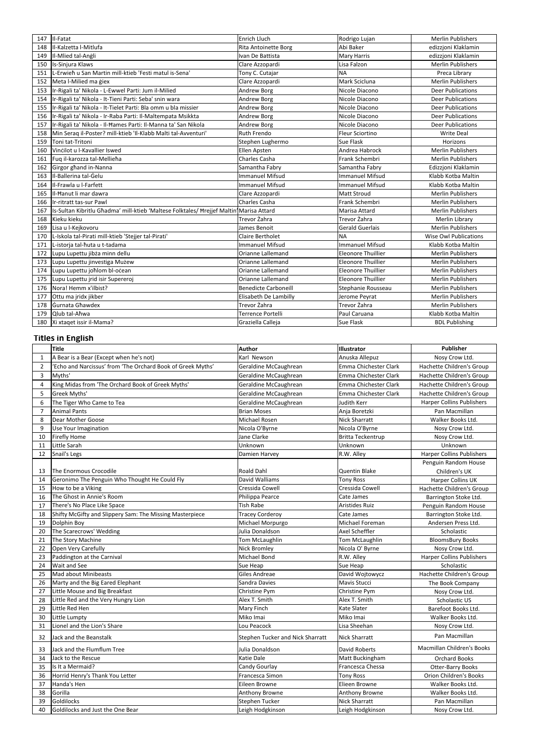| 147 | II-Fatat                                                                               | Enrich Lluch                | Rodrigo Lujan             | <b>Merlin Publishers</b>     |
|-----|----------------------------------------------------------------------------------------|-----------------------------|---------------------------|------------------------------|
| 148 | Il-Kalzetta I-Mitlufa                                                                  | <b>Rita Antoinette Borg</b> | Abi Baker                 | edizzjoni Klaklamin          |
| 149 | Il-Mlied tal-Angli                                                                     | Ivan De Battista            | <b>Mary Harris</b>        | edizzjoni Klaklamin          |
| 150 | Is-Sinjura Klaws                                                                       | Clare Azzopardi             | Lisa Falzon               | <b>Merlin Publishers</b>     |
| 151 | L-Erwieh u San Martin mill-ktieb 'Festi matul is-Sena'                                 | Tony C. Cutajar             | <b>NA</b>                 | Preca Library                |
| 152 | Meta l-Milied ma giex                                                                  | Clare Azzopardi             | Mark Scicluna             | <b>Merlin Publishers</b>     |
| 153 | Ir-Rigali ta' Nikola - L-Ewwel Parti: Jum il-Milied                                    | Andrew Borg                 | Nicole Diacono            | <b>Deer Publications</b>     |
| 154 | Ir-Rigali ta' Nikola - It-Tieni Parti: Seba' snin wara                                 | Andrew Borg                 | Nicole Diacono            | <b>Deer Publications</b>     |
| 155 | Ir-Rigali ta' Nikola - It-Tielet Parti: Bla omm u bla missier                          | Andrew Borg                 | Nicole Diacono            | <b>Deer Publications</b>     |
| 156 | Ir-Rigali ta' Nikola - Ir-Raba Parti: Il-Maltempata Msikkta                            | <b>Andrew Borg</b>          | Nicole Diacono            | <b>Deer Publications</b>     |
| 157 | Ir-Rigali ta' Nikola - Il-Hames Parti: Il-Manna ta' San Nikola                         | Andrew Borg                 | Nicole Diacono            | <b>Deer Publications</b>     |
| 158 | Min Seraq il-Poster? mill-ktieb 'Il-Klabb Malti tal-Avventuri'                         | Ruth Frendo                 | <b>Fleur Sciortino</b>    | <b>Write Deal</b>            |
| 159 | Toni tat-Tritoni                                                                       | Stephen Lughermo            | <b>Sue Flask</b>          | Horizons                     |
| 160 | Vincilot u I-Kavallier Iswed                                                           | Ellen Apsten                | Andrea Habrock            | <b>Merlin Publishers</b>     |
| 161 | Fuq il-karozza tal-Mellieha                                                            | Charles Casha               | Frank Schembri            | <b>Merlin Publishers</b>     |
| 162 | Girgor ghand in-Nanna                                                                  | Samantha Fabry              | Samantha Fabry            | Edizzjoni Klaklamin          |
| 163 | Il-Ballerina tal-Gelu                                                                  | <b>Immanuel Mifsud</b>      | <b>Immanuel Mifsud</b>    | Klabb Kotba Maltin           |
| 164 | Il-Frawla u I-Farfett                                                                  | <b>Immanuel Mifsud</b>      | Immanuel Mifsud           | Klabb Kotba Maltin           |
| 165 | II-Hanut li mar dawra                                                                  | Clare Azzopardi             | <b>Matt Stroud</b>        | <b>Merlin Publishers</b>     |
| 166 | Ir-ritratt tas-sur Pawl                                                                | Charles Casha               | Frank Schembri            | <b>Merlin Publishers</b>     |
| 167 | Is-Sultan Kibritlu Ghadma' mill-ktieb 'Maltese Folktales/ Hrejjef Maltin Marisa Attard |                             | Marisa Attard             | <b>Merlin Publishers</b>     |
| 168 | Kieku kieku                                                                            | Trevor Żahra                | Trevor Żahra              | Merlin Library               |
| 169 | Lisa u I-Kejkovoru                                                                     | James Benoit                | <b>Gerald Guerlais</b>    | <b>Merlin Publishers</b>     |
| 170 | L-Iskola tal-Pirati mill-ktieb 'Stejjer tal-Pirati'                                    | Claire Bertholet            | <b>NA</b>                 | <b>Wise Owl Publications</b> |
| 171 | L-istorja tal-ħuta u t-tadama                                                          | <b>Immanuel Mifsud</b>      | <b>Immanuel Mifsud</b>    | Klabb Kotba Maltin           |
| 172 | Lupu Lupettu jibża minn dellu                                                          | Orianne Lallemand           | <b>Eleonore Thuillier</b> | <b>Merlin Publishers</b>     |
| 173 | Lupu Lupettu jinvestiga Mużew                                                          | Orianne Lallemand           | <b>Eleonore Thuillier</b> | <b>Merlin Publishers</b>     |
| 174 | Lupu Lupettu johlom bl-ocean                                                           | Orianne Lallemand           | <b>Eleonore Thuillier</b> | <b>Merlin Publishers</b>     |
| 175 | Lupu Lupettu jrid isir Supereroj                                                       | Orianne Lallemand           | <b>Eleonore Thuillier</b> | <b>Merlin Publishers</b>     |
| 176 | Nora! Hemm x'ilbist?                                                                   | <b>Benedicte Carboneill</b> | Stephanie Rousseau        | <b>Merlin Publishers</b>     |
| 177 | Ottu ma jridx jikber                                                                   | Elisabeth De Lambilly       | Jerome Peyrat             | <b>Merlin Publishers</b>     |
| 178 | <b>Gurnata Ghawdex</b>                                                                 | Trevor Żahra                | Trevor Żahra              | <b>Merlin Publishers</b>     |
| 179 | Qlub tal-Aħwa                                                                          | Terrence Portelli           | Paul Caruana              | Klabb Kotba Maltin           |
| 180 | Xi xtaqet issir il-Mama?                                                               | Graziella Calleja           | <b>Sue Flask</b>          | <b>BDL Publishing</b>        |

## **Titles in English**

|                | <b>Title</b>                                                | <b>Author</b>                           | Illustrator           | <b>Publisher</b>                 |
|----------------|-------------------------------------------------------------|-----------------------------------------|-----------------------|----------------------------------|
| -1             | A Bear is a Bear (Except when he's not)                     | Karl Newson                             | Anuska Allepuz        | Nosy Crow Ltd.                   |
| $\overline{2}$ | 'Echo and Narcissus' from 'The Orchard Book of Greek Myths' | Geraldine McCaughrean                   | Emma Chichester Clark | Hachette Children's Group        |
| 3              | Myths'                                                      | Geraldine McCaughrean                   | Emma Chichester Clark | Hachette Children's Group        |
| 4              | King Midas from 'The Orchard Book of Greek Myths'           | Geraldine McCaughrean                   | Emma Chichester Clark | Hachette Children's Group        |
| 5              | Greek Myths'                                                | Geraldine McCaughrean                   | Emma Chichester Clark | Hachette Children's Group        |
| 6              | The Tiger Who Came to Tea                                   | Geraldine McCaughrean                   | Judith Kerr           | <b>Harper Collins Publishers</b> |
| 7              | <b>Animal Pants</b>                                         | <b>Brian Moses</b>                      | Anja Boretzki         | Pan Macmillan                    |
| 8              | Dear Mother Goose                                           | Michael Rosen                           | <b>Nick Sharratt</b>  | Walker Books Ltd.                |
| 9              | Use Your Imagination                                        | Nicola O'Byrne                          | Nicola O'Byrne        | Nosy Crow Ltd.                   |
| 10             | Firefly Home                                                | Jane Clarke                             | Britta Teckentrup     | Nosy Crow Ltd.                   |
| 11             | Little Sarah                                                | Unknown                                 | Unknown               | Unknown                          |
| 12             | Snail's Legs                                                | Damien Harvey                           | R.W. Alley            | <b>Harper Collins Publishers</b> |
|                |                                                             |                                         |                       | Penguin Random House             |
| 13             | The Enormous Crocodile                                      | <b>Roald Dahl</b>                       | <b>Quentin Blake</b>  | Children's UK                    |
| 14             | Geronimo The Penguin Who Thought He Could Fly               | David Walliams                          | <b>Tony Ross</b>      | Harper Collins UK                |
| 15             | How to be a Viking                                          | Cressida Cowell                         | Cressida Cowell       | Hachette Children's Group        |
| 16             | The Ghost in Annie's Room                                   | Philippa Pearce                         | Cate James            | Barrington Stoke Ltd.            |
| 17             | There's No Place Like Space                                 | <b>Tish Rabe</b>                        | <b>Aristides Ruiz</b> | Penguin Random House             |
| 18             | Shifty McGifty and Slippery Sam: The Missing Masterpiece    | <b>Tracey Corderoy</b>                  | Cate James            | Barrington Stoke Ltd.            |
| 19             | Dolphin Boy                                                 | Michael Morpurgo                        | Michael Foreman       | Andersen Press Ltd.              |
| 20             | The Scarecrows' Wedding                                     | Julia Donaldson                         | <b>Axel Scheffler</b> | Scholastic                       |
| 21             | The Story Machine                                           | Tom McLaughlin                          | <b>Tom McLaughlin</b> | <b>BloomsBury Books</b>          |
| 22             | Open Very Carefully                                         | <b>Nick Bromley</b>                     | Nicola O' Byrne       | Nosy Crow Ltd.                   |
| 23             | Paddington at the Carnival                                  | Michael Bond                            | R.W. Alley            | <b>Harper Collins Publishers</b> |
| 24             | Wait and See                                                | Sue Heap                                | Sue Heap              | Scholastic                       |
| 25             | <b>Mad about Minibeasts</b>                                 | <b>Giles Andreae</b>                    | David Wojtowycz       | Hachette Children's Group        |
| 26             | Marty and the Big Eared Elephant                            | Sandra Davies                           | Mavis Stucci          | The Book Company                 |
| 27             | Little Mouse and Big Breakfast                              | Christine Pym                           | Christine Pym         | Nosy Crow Ltd.                   |
| 28             | Little Red and the Very Hungry Lion                         | Alex T. Smith                           | Alex T. Smith         | Scholastic US                    |
| 29             | Little Red Hen                                              | <b>Mary Finch</b>                       | <b>Kate Slater</b>    | Barefoot Books Ltd.              |
| 30             | Little Lumpty                                               | Miko Imai                               | Miko Imai             | Walker Books Ltd.                |
| 31             | Lionel and the Lion's Share                                 | Lou Peacock                             | Lisa Sheehan          | Nosy Crow Ltd.                   |
| 32             | Jack and the Beanstalk                                      | <b>Stephen Tucker and Nick Sharratt</b> | <b>Nick Sharratt</b>  | Pan Macmillan                    |
| 33             | Jack and the Flumflum Tree                                  | Julia Donaldson                         | David Roberts         | Macmillan Children's Books       |
| 34             | Jack to the Rescue                                          | Katie Dale                              | Matt Buckingham       | <b>Orchard Books</b>             |
| 35             | Is It a Mermaid?                                            | Candy Gourlay                           | Francesca Chessa      | <b>Otter-Barry Books</b>         |
| 36             | Horrid Henry's Thank You Letter                             | Francesca Simon                         | <b>Tony Ross</b>      | Orion Children's Books           |
| 37             | Handa's Hen                                                 | Eileen Browne                           | Elieen Browne         | Walker Books Ltd.                |
| 38             | Gorilla                                                     | Anthony Browne                          | Anthony Browne        | Walker Books Ltd.                |
| 39             | Goldilocks                                                  | Stephen Tucker                          | <b>Nick Sharratt</b>  | Pan Macmillan                    |
| 40             | Goldilocks and Just the One Bear                            | Leigh Hodgkinson                        | Leigh Hodgkinson      | Nosy Crow Ltd.                   |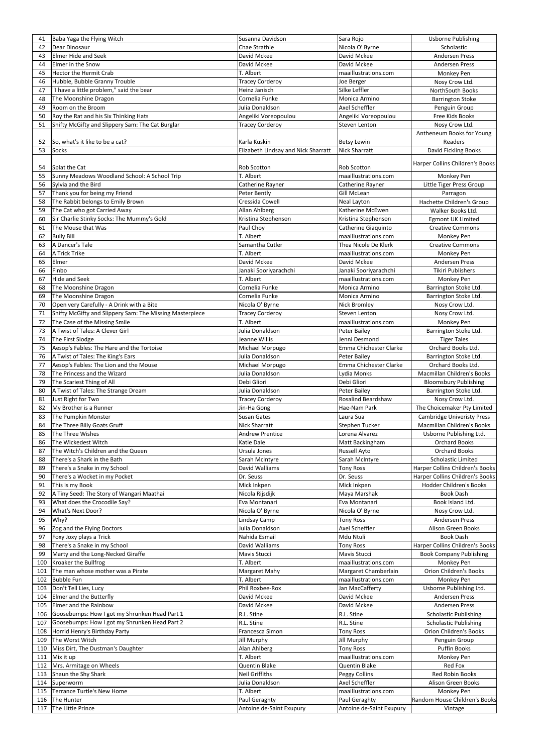| 41  | Baba Yaga the Flying Witch                               | Susanna Davidson                    | Sara Rojo                 | <b>Usborne Publishing</b>         |
|-----|----------------------------------------------------------|-------------------------------------|---------------------------|-----------------------------------|
|     | Dear Dinosaur                                            | Chae Strathie                       |                           |                                   |
| 42  |                                                          |                                     | Nicola O' Byrne           | Scholastic                        |
| 43  | <b>Elmer Hide and Seek</b>                               | David Mckee                         | David Mckee               | <b>Andersen Press</b>             |
| 44  | Elmer in the Snow                                        | David Mckee                         | David Mckee               | <b>Andersen Press</b>             |
| 45  | <b>Hector the Hermit Crab</b>                            | T. Albert                           | maaillustrations.com      | Monkey Pen                        |
| 46  | Hubble, Bubble Granny Trouble                            | <b>Tracey Corderoy</b>              | Joe Berger                | Nosy Crow Ltd.                    |
| 47  | "I have a little problem," said the bear                 | Heinz Janisch                       | Silke Leffler             | NorthSouth Books                  |
|     |                                                          |                                     |                           |                                   |
| 48  | The Moonshine Dragon                                     | Cornelia Funke                      | Monica Armino             | <b>Barrington Stoke</b>           |
| 49  | Room on the Broom                                        | Julia Donaldson                     | Axel Scheffler            | Penguin Group                     |
| 50  | Roy the Rat and his Six Thinking Hats                    | Angeliki Voreopoulou                | Angeliki Voreopoulou      | Free Kids Books                   |
| 51  | Shifty McGifty and Slippery Sam: The Cat Burglar         | <b>Tracey Corderoy</b>              | <b>Steven Lenton</b>      | Nosy Crow Ltd.                    |
|     |                                                          |                                     |                           |                                   |
|     |                                                          |                                     |                           | Antheneum Books for Young         |
| 52  | So, what's it like to be a cat?                          | Karla Kuskin                        | <b>Betsy Lewin</b>        | Readers                           |
| 53  | <b>Socks</b>                                             | Elizabeth Lindsay and Nick Sharratt | <b>Nick Sharratt</b>      | David Fickling Books              |
|     |                                                          |                                     |                           |                                   |
| 54  | Splat the Cat                                            | Rob Scotton                         | <b>Rob Scotton</b>        | Harper Collins Children's Books   |
|     |                                                          |                                     |                           |                                   |
| 55  | Sunny Meadows Woodland School: A School Trip             | T. Albert                           | maaillustrations.com      | Monkey Pen                        |
| 56  | Sylvia and the Bird                                      | Catherine Rayner                    | Catherine Rayner          | Little Tiger Press Group          |
| 57  | Thank you for being my Friend                            | Peter Bently                        | Gill McLean               | Parragon                          |
| 58  | The Rabbit belongs to Emily Brown                        | Cressida Cowell                     | <b>Neal Layton</b>        | Hachette Children's Group         |
| 59  | The Cat who got Carried Away                             | Allan Ahlberg                       | Katherine McEwen          | Walker Books Ltd.                 |
|     |                                                          |                                     |                           |                                   |
| 60  | Sir Charlie Stinky Socks: The Mummy's Gold               | Kristina Stephenson                 | Kristina Stephenson       | <b>Egmont UK Limited</b>          |
| 61  | The Mouse that Was                                       | Paul Choy                           | Catherine Giaquinto       | <b>Creative Commons</b>           |
| 62  | <b>Bully Bill</b>                                        | T. Albert                           | maaillustrations.com      | Monkey Pen                        |
| 63  | A Dancer's Tale                                          | Samantha Cutler                     | Thea Nicole De Klerk      | <b>Creative Commons</b>           |
|     |                                                          |                                     |                           |                                   |
| 64  | A Trick Trike                                            | T. Albert                           | maaillustrations.com      | Monkey Pen                        |
| 65  | Elmer                                                    | David Mckee                         | David Mckee               | <b>Andersen Press</b>             |
| 66  | Finbo                                                    | Janaki Sooriyarachchi               | Janaki Sooriyarachchi     | <b>Tikiri Publishers</b>          |
| 67  | <b>Hide and Seek</b>                                     | T. Albert                           | maaillustrations.com      | Monkey Pen                        |
| 68  | The Moonshine Dragon                                     | Cornelia Funke                      | Monica Armino             | Barrington Stoke Ltd.             |
|     |                                                          |                                     |                           |                                   |
| 69  | The Moonshine Dragon                                     | Cornelia Funke                      | Monica Armino             | Barrington Stoke Ltd.             |
| 70  | Open very Carefully - A Drink with a Bite                | Nicola O' Byrne                     | <b>Nick Bromley</b>       | Nosy Crow Ltd.                    |
| 71  | Shifty McGifty and Slippery Sam: The Missing Masterpiece | <b>Tracey Corderoy</b>              | <b>Steven Lenton</b>      | Nosy Crow Ltd.                    |
| 72  | The Case of the Missing Smile                            | T. Albert                           | maaillustrations.com      | Monkey Pen                        |
|     |                                                          |                                     |                           |                                   |
| 73  | A Twist of Tales: A Clever Girl                          | Julia Donaldson                     | <b>Peter Bailey</b>       | Barrington Stoke Ltd.             |
| 74  | The First Slodge                                         | Jeanne Willis                       | Jenni Desmond             | <b>Tiger Tales</b>                |
| 75  | Aesop's Fables: The Hare and the Tortoise                | Michael Morpugo                     | Emma Chichester Clarke    | Orchard Books Ltd.                |
| 76  | A Twist of Tales: The King's Ears                        | Julia Donaldson                     | <b>Peter Bailey</b>       | Barrington Stoke Ltd.             |
| 77  | Aesop's Fables: The Lion and the Mouse                   | Michael Morpugo                     | Emma Chichester Clarke    | Orchard Books Ltd.                |
|     |                                                          |                                     |                           |                                   |
| 78  | The Princess and the Wizard                              | Julia Donaldson                     | Lydia Monks               | Macmillan Children's Books        |
| 79  | The Scariest Thing of All                                | Debi Gliori                         | Debi Gliori               | <b>Bloomsbury Publishing</b>      |
| 80  | A Twist of Tales: The Strange Dream                      | Julia Donaldson                     | <b>Peter Bailey</b>       | Barrington Stoke Ltd.             |
| 81  | Just Right for Two                                       | <b>Tracey Corderoy</b>              | <b>Rosalind Beardshaw</b> | Nosy Crow Ltd.                    |
|     |                                                          |                                     | Hae-Nam Park              |                                   |
| 82  | My Brother is a Runner                                   | Jin-Ha Gong                         |                           | The Choicemaker Pty Limited       |
| 83  | The Pumpkin Monster                                      | Susan Gates                         | Laura Sua                 | <b>Cambridge Univeristy Press</b> |
| 84  | The Three Billy Goats Gruff                              | <b>Nick Sharratt</b>                | Stephen Tucker            | Macmillan Children's Books        |
| 85  | The Three Wishes                                         | <b>Andrew Prentice</b>              | Lorena Alvarez            | Usborne Publishing Ltd.           |
| 86  | The Wickedest Witch                                      | Katie Dale                          | Matt Backingham           | <b>Orchard Books</b>              |
|     |                                                          |                                     |                           | <b>Orchard Books</b>              |
| 87  | The Witch's Children and the Queen                       | Ursula Jones                        | <b>Russell Ayto</b>       |                                   |
| 88  | There's a Shark in the Bath                              | Sarah McIntyre                      | Sarah McIntyre            | <b>Scholastic Limited</b>         |
| 89  | There's a Snake in my School                             | David Walliams                      | <b>Tony Ross</b>          | Harper Collins Children's Books   |
| 90  | There's a Wocket in my Pocket                            | Dr. Seuss                           | Dr. Seuss                 | Harper Collins Children's Books   |
| 91  | This is my Book                                          | Mick Inkpen                         | Mick Inkpen               | Hodder Children's Books           |
|     |                                                          |                                     |                           |                                   |
| 92  | A Tiny Seed: The Story of Wangari Maathai                | Nicola Rijsdijk                     | Maya Marshak              | <b>Book Dash</b>                  |
| 93  | What does the Crocodile Say?                             | Eva Montanari                       | Eva Montanari             | Book Island Ltd.                  |
| 94  | What's Next Door?                                        | Nicola O' Byrne                     | Nicola O' Byrne           | Nosy Crow Ltd.                    |
| 95  | Why?                                                     | Lindsay Camp                        | <b>Tony Ross</b>          | <b>Andersen Press</b>             |
| 96  | Zog and the Flying Doctors                               | Julia Donaldson                     | <b>Axel Scheffler</b>     | Alison Green Books                |
|     |                                                          |                                     |                           |                                   |
| 97  | Foxy Joxy plays a Trick                                  | Nahida Esmail                       | Mdu Ntuli                 | <b>Book Dash</b>                  |
| 98  | There's a Snake in my School                             | David Walliams                      | <b>Tony Ross</b>          | Harper Collins Children's Books   |
| 99  | Marty and the Long-Necked Giraffe                        | Mavis Stucci                        | Mavis Stucci              | <b>Book Company Publishing</b>    |
| 100 | Kroaker the Bullfrog                                     | T. Albert                           | maaillustrations.com      | Monkey Pen                        |
| 101 | The man whose mother was a Pirate                        | Margaret Mahy                       | Margaret Chamberlain      | Orion Children's Books            |
|     |                                                          |                                     |                           |                                   |
| 102 | <b>Bubble Fun</b>                                        | T. Albert                           | maaillustrations.com      | Monkey Pen                        |
| 103 | Don't Tell Lies, Lucy                                    | Phil Roxbee-Rox                     | Jan MacCafferty           | Usborne Publishing Ltd.           |
| 104 | Elmer and the Butterfly                                  | David Mckee                         | David Mckee               | <b>Andersen Press</b>             |
| 105 | Elmer and the Rainbow                                    | David Mckee                         | David Mckee               | <b>Andersen Press</b>             |
| 106 | Goosebumps: How I got my Shrunken Head Part 1            | R.L. Stine                          | R.L. Stine                | <b>Scholastic Publishing</b>      |
|     |                                                          |                                     |                           |                                   |
| 107 | Goosebumps: How I got my Shrunken Head Part 2            | R.L. Stine                          | R.L. Stine                | <b>Scholastic Publishing</b>      |
| 108 | Horrid Henry's Birthday Party                            | Francesca Simon                     | <b>Tony Ross</b>          | Orion Children's Books            |
| 109 | The Worst Witch                                          | <b>Jill Murphy</b>                  | Jill Murphy               | Penguin Group                     |
| 110 | Miss Dirt, The Dustman's Daughter                        | Alan Ahlberg                        | <b>Tony Ross</b>          | Puffin Books                      |
|     |                                                          |                                     |                           |                                   |
| 111 | Mix it up                                                | T. Albert                           | maaillustrations.com      | Monkey Pen                        |
| 112 | Mrs. Armitage on Wheels                                  | Quentin Blake                       | Quentin Blake             | Red Fox                           |
| 113 | Shaun the Shy Shark                                      | <b>Neil Griffiths</b>               | Peggy Collins             | Red Robin Books                   |
| 114 | Superworm                                                | Julia Donaldson                     | Axel Scheffler            | Alison Green Books                |
| 115 | Terrance Turtle's New Home                               | T. Albert                           | maaillustrations.com      | Monkey Pen                        |
|     |                                                          |                                     |                           |                                   |
| 116 | The Hunter                                               | Paul Geraghty                       | Paul Geraghty             | Random House Children's Books     |
|     | 117 The Little Prince                                    | Antoine de-Saint Exupury            | Antoine de-Saint Exupury  | Vintage                           |